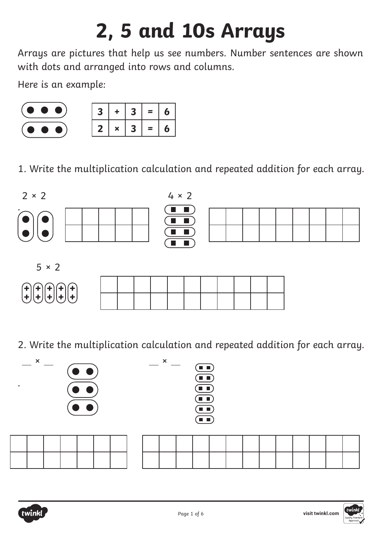## **2, 5 and 10s Arrays**

Arrays are pictures that help us see numbers. Number sentences are shown with dots and arranged into rows and columns.

Here is an example:



1. Write the multiplication calculation and repeated addition for each array.



2. Write the multiplication calculation and repeated addition for each array.



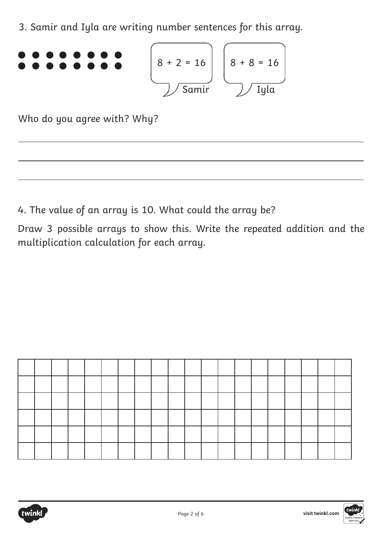3. Samir and Iyla are writing number sentences for this array.

$$
\begin{array}{c}\n\bullet \bullet \bullet \bullet \bullet \bullet \bullet \bullet \\
\bullet \bullet \bullet \bullet \bullet \bullet \bullet \\
\hline\n\end{array}\n\qquad\n\begin{array}{c}\n8 + 2 = 16 \\
\hline\n\end{array}\n\qquad\n\begin{array}{c}\n8 + 8 = 16 \\
\hline\n\end{array}\n\qquad\n\begin{array}{c}\n\end{array}\n\qquad\n\begin{array}{c}\n\end{array}\n\qquad\n\begin{array}{c}\n\end{array}\n\qquad\n\begin{array}{c}\n\end{array}\n\qquad\n\begin{array}{c}\n\end{array}\n\qquad\n\begin{array}{c}\n\end{array}\n\qquad\n\begin{array}{c}\n\end{array}\n\qquad\n\begin{array}{c}\n\end{array}\n\qquad\n\begin{array}{c}\n\end{array}\n\qquad\n\begin{array}{c}\n\end{array}\n\qquad\n\begin{array}{c}\n\end{array}\n\qquad\n\begin{array}{c}\n\end{array}\n\qquad\n\begin{array}{c}\n\end{array}\n\qquad\n\begin{array}{c}\n\end{array}\n\qquad\n\begin{array}{c}\n\end{array}\n\qquad\n\begin{array}{c}\n\end{array}\n\qquad\n\begin{array}{c}\n\end{array}\n\qquad\n\begin{array}{c}\n\end{array}\n\qquad\n\begin{array}{c}\n\end{array}\n\qquad\n\begin{array}{c}\n\end{array}\n\qquad\n\begin{array}{c}\n\end{array}\n\qquad\n\begin{array}{c}\n\end{array}\n\qquad\n\begin{array}{c}\n\end{array}\n\qquad\n\begin{array}{c}\n\end{array}\n\qquad\n\begin{array}{c}\n\end{array}\n\qquad\n\begin{array}{c}\n\end{array}\n\qquad\n\begin{array}{c}\n\end{array}\n\qquad\n\begin{array}{c}\n\end{array}\n\qquad\n\begin{array}{c}\n\end{array}\n\qquad\n\begin{array}{c}\n\end{array}\n\qquad\n\begin{array}{c}\n\end{array}\n\qquad\n\begin{array}{c}\n\end{array}\n\qquad\n\begin{array}{c}\n\end{array}\n\qquad\n\begin{array}{c}\n\end{array}\n\qquad\n\begin{array}{c}\n\end{array}\n\qquad\n\begin{array}{c}\n\end{array}
$$

Who do you agree with? Why?

4. The value of an array is 10. What could the array be?

Draw 3 possible arrays to show this. Write the repeated addition and the multiplication calculation for each array.



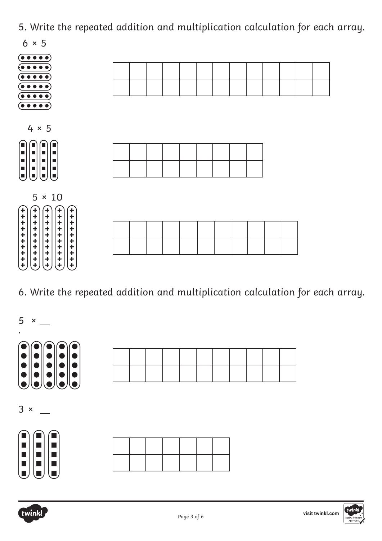

6. Write the repeated addition and multiplication calculation for each array.





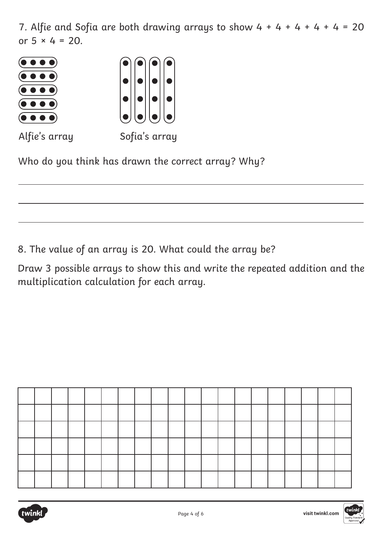7. Alfie and Sofia are both drawing arrays to show  $4 + 4 + 4 + 4 + 4 = 20$ or  $5 \times 4 = 20$ .



Who do you think has drawn the correct array? Why?

8. The value of an array is 20. What could the array be?

Draw 3 possible arrays to show this and write the repeated addition and the multiplication calculation for each array.



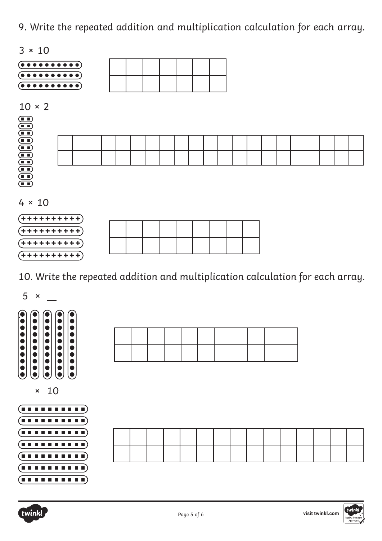

10. Write the repeated addition and multiplication calculation for each array.





**+ + + + + + + + + +**

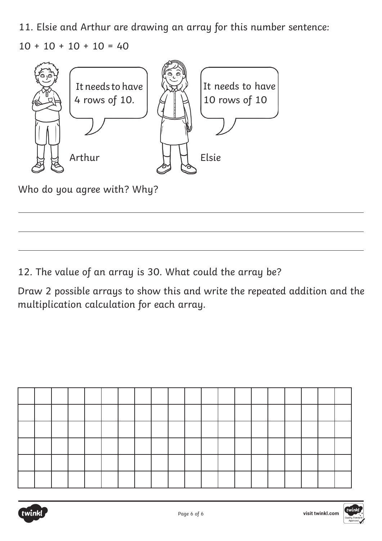11. Elsie and Arthur are drawing an array for this number sentence:  $10 + 10 + 10 + 10 = 40$ 



Who do you agree with? Why?

12. The value of an array is 30. What could the array be?

Draw 2 possible arrays to show this and write the repeated addition and the multiplication calculation for each array.



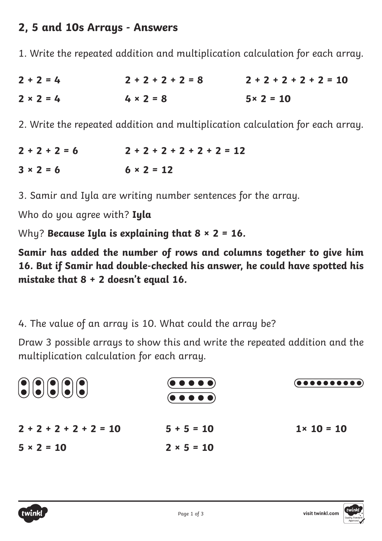## **2, 5 and 10s Arrays - Answers**

1. Write the repeated addition and multiplication calculation for each array.

| $2 + 2 = 4$      | $2 + 2 + 2 + 2 = 8$ | $2 + 2 + 2 + 2 + 2 = 10$ |
|------------------|---------------------|--------------------------|
| $2 \times 2 = 4$ | $4 \times 2 = 8$    | $5 \times 2 = 10$        |

2. Write the repeated addition and multiplication calculation for each array.

 $2 + 2 + 2 = 6$  $3 \times 2 = 6$ **2 + 2 + 2 + 2 + 2 + 2 = 12**  $6 \times 2 = 12$ 

3. Samir and Iyla are writing number sentences for the array.

Who do you agree with? **Iyla**

Why? **Because Iyla is explaining that 8 × 2 = 16.**

**Samir has added the number of rows and columns together to give him 16. But if Samir had double-checked his answer, he could have spotted his mistake that 8 + 2 doesn't equal 16.**

4. The value of an array is 10. What could the array be?

Draw 3 possible arrays to show this and write the repeated addition and the multiplication calculation for each array.

| 00000                    | $\left(\bullet\;\bullet\;\bullet\;\bullet\;\bullet\right)$<br>$\left(\bullet\bullet\bullet\bullet\bullet\right)$ | $(\bullet\,\bullet\,\bullet\,\bullet\,\bullet\,\bullet\,\bullet\,\bullet\,\bullet\,\bullet)$ |
|--------------------------|------------------------------------------------------------------------------------------------------------------|----------------------------------------------------------------------------------------------|
| $2 + 2 + 2 + 2 + 2 = 10$ | $5 + 5 = 10$                                                                                                     | $1 \times 10 = 10$                                                                           |
| $5 \times 2 = 10$        | $2 \times 5 = 10$                                                                                                |                                                                                              |

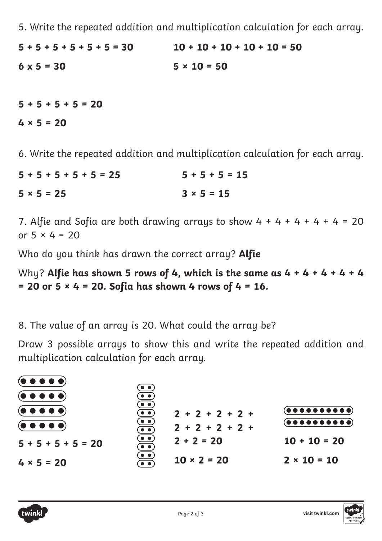**5 + 5 + 5 + 5 + 5 + 5 = 30 6 x 5 = 30 10 + 10 + 10 + 10 + 10 = 50 5 × 10 = 50**

**5 + 5 + 5 + 5 = 20 4 × 5 = 20**

6. Write the repeated addition and multiplication calculation for each array.

**5 + 5 + 5 + 5 + 5 = 25 5 × 5 = 25 5 + 5 + 5 = 15**  $3 \times 5 = 15$ 

7. Alfie and Sofia are both drawing arrays to show  $4 + 4 + 4 + 4 + 4 = 20$ or 5 × 4 = 20

Who do you think has drawn the correct array? **Alfie**

Why? **Alfie has shown 5 rows of 4, which is the same as 4 + 4 + 4 + 4 + 4 = 20 or 5 × 4 = 20. Sofia has shown 4 rows of 4 = 16.**

8. The value of an array is 20. What could the array be?

Draw 3 possible arrays to show this and write the repeated addition and multiplication calculation for each array.